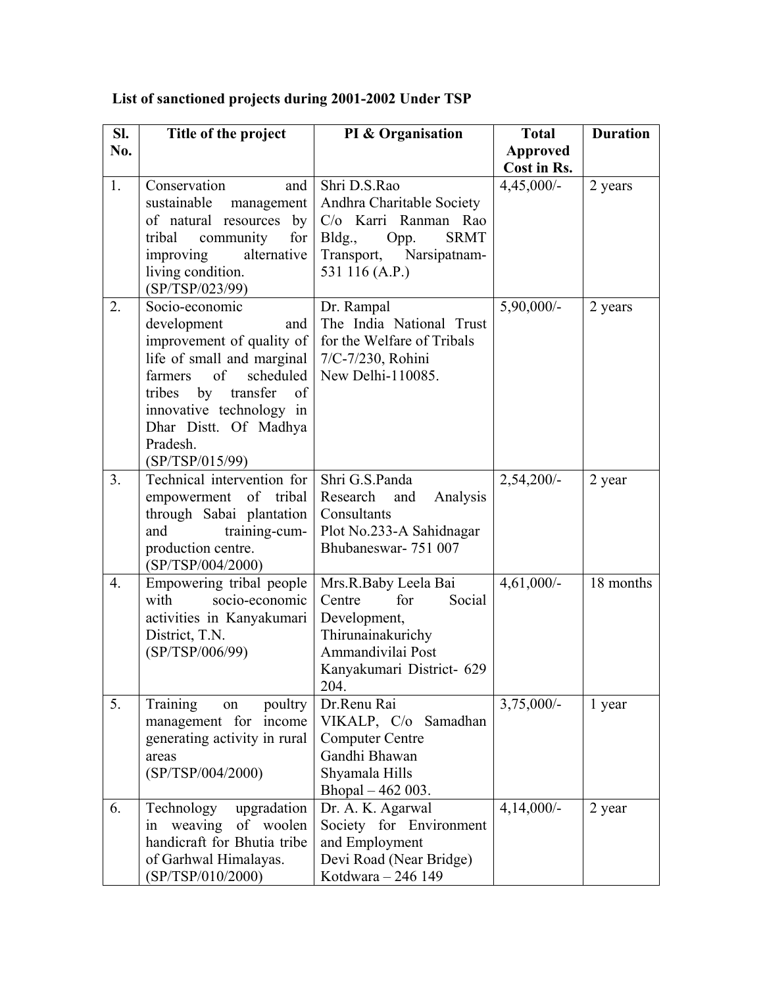| Sl.              | Title of the project                                                                                                                                                                                                                                | PI & Organisation                                                                                                                               | <b>Total</b>    | <b>Duration</b> |
|------------------|-----------------------------------------------------------------------------------------------------------------------------------------------------------------------------------------------------------------------------------------------------|-------------------------------------------------------------------------------------------------------------------------------------------------|-----------------|-----------------|
| No.              |                                                                                                                                                                                                                                                     |                                                                                                                                                 | <b>Approved</b> |                 |
|                  |                                                                                                                                                                                                                                                     |                                                                                                                                                 | Cost in Rs.     |                 |
| 1.               | Conservation<br>and<br>sustainable<br>management<br>of natural resources<br>by<br>community<br>for<br>tribal<br>improving<br>alternative<br>living condition.<br>(SP/TSP/023/99)                                                                    | Shri D.S.Rao<br>Andhra Charitable Society<br>C/o Karri Ranman Rao<br><b>SRMT</b><br>Bldg.,<br>Opp.<br>Transport, Narsipatnam-<br>531 116 (A.P.) | $4,45,000/-$    | 2 years         |
| 2.               | Socio-economic<br>development<br>and<br>improvement of quality of<br>life of small and marginal<br>of<br>scheduled<br>farmers<br>tribes<br>by<br>transfer<br>of<br>innovative technology in<br>Dhar Distt. Of Madhya<br>Pradesh.<br>(SP/TSP/015/99) | Dr. Rampal<br>The India National Trust<br>for the Welfare of Tribals<br>7/C-7/230, Rohini<br>New Delhi-110085.                                  | $5,90,000/-$    | 2 years         |
| 3.               | Technical intervention for<br>empowerment<br>of tribal<br>through Sabai plantation<br>and<br>training-cum-<br>production centre.<br>(SP/TSP/004/2000)                                                                                               | Shri G.S.Panda<br>Analysis<br>Research<br>and<br>Consultants<br>Plot No.233-A Sahidnagar<br>Bhubaneswar-751 007                                 | $2,54,200/-$    | 2 year          |
| $\overline{4}$ . | Empowering tribal people<br>with<br>socio-economic<br>activities in Kanyakumari<br>District, T.N.<br>(SP/TSP/006/99)                                                                                                                                | Mrs.R.Baby Leela Bai<br>Centre<br>for<br>Social<br>Development,<br>Thirunainakurichy<br>Ammandivilai Post<br>Kanyakumari District- 629<br>204.  | $4,61,000/-$    | 18 months       |
| 5.               | Training<br>poultry<br>on<br>management for income<br>generating activity in rural<br>areas<br>(SP/TSP/004/2000)                                                                                                                                    | Dr.Renu Rai<br>VIKALP, C/o Samadhan<br><b>Computer Centre</b><br>Gandhi Bhawan<br>Shyamala Hills<br>Bhopal – 462 003.                           | $3,75,000/-$    | 1 year          |
| 6.               | Technology<br>upgradation<br>in weaving<br>of woolen<br>handicraft for Bhutia tribe<br>of Garhwal Himalayas.<br>(SP/TSP/010/2000)                                                                                                                   | Dr. A. K. Agarwal<br>Society for Environment<br>and Employment<br>Devi Road (Near Bridge)<br>Kotdwara - 246 149                                 | $4,14,000/-$    | 2 year          |

## **List of sanctioned projects during 2001-2002 Under TSP**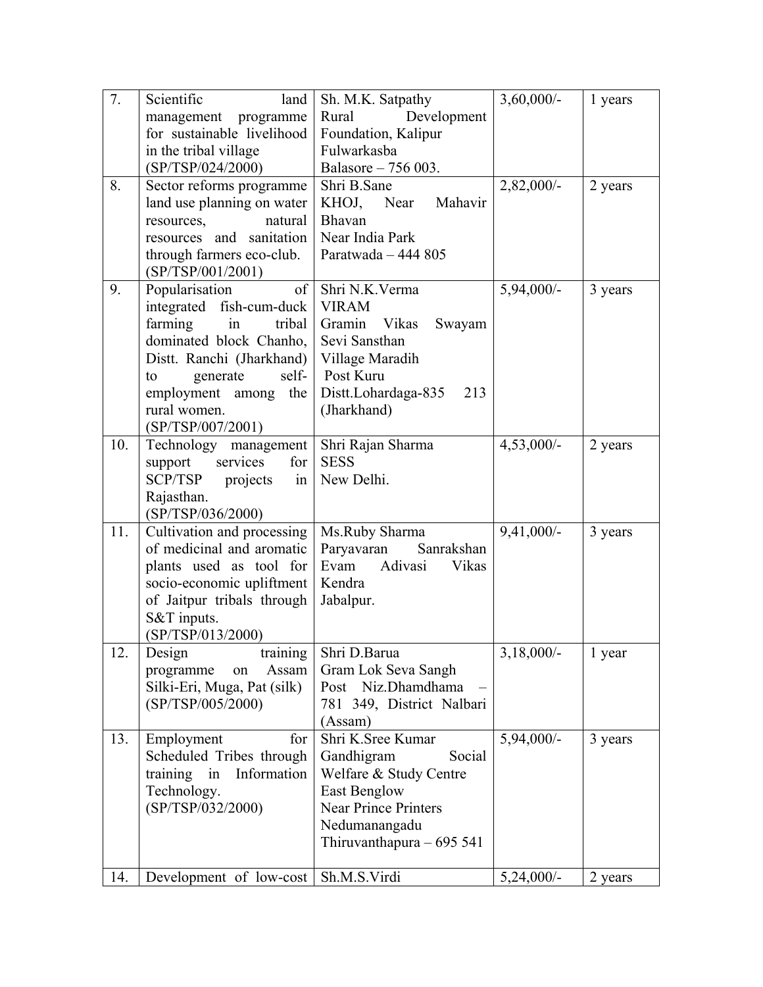| 7.  | Scientific<br>land                          | Sh. M.K. Satpathy           | $3,60,000/$ - | 1 years |
|-----|---------------------------------------------|-----------------------------|---------------|---------|
|     | management programme                        | Rural<br>Development        |               |         |
|     | for sustainable livelihood                  | Foundation, Kalipur         |               |         |
|     | in the tribal village                       | Fulwarkasba                 |               |         |
|     | (SP/TSP/024/2000)                           | Balasore - 756 003.         |               |         |
| 8.  | Sector reforms programme                    | Shri B.Sane                 | $2,82,000/-$  | 2 years |
|     | land use planning on water                  | Mahavir<br>KHOJ, Near       |               |         |
|     | natural<br>resources,                       | Bhavan                      |               |         |
|     | resources and sanitation                    | Near India Park             |               |         |
|     | through farmers eco-club.                   | Paratwada - 444 805         |               |         |
|     | (SP/TSP/001/2001)                           |                             |               |         |
| 9.  | of<br>Popularisation                        | Shri N.K.Verma              | 5,94,000/-    | 3 years |
|     | integrated fish-cum-duck                    | <b>VIRAM</b>                |               |         |
|     | farming<br>$\overline{\text{in}}$<br>tribal | Gramin Vikas<br>Swayam      |               |         |
|     | dominated block Chanho,                     | Sevi Sansthan               |               |         |
|     | Distt. Ranchi (Jharkhand)                   | Village Maradih             |               |         |
|     | generate<br>self-<br>to                     | Post Kuru                   |               |         |
|     | employment among the                        | Distt.Lohardaga-835<br>213  |               |         |
|     | rural women.                                | (Jharkhand)                 |               |         |
|     | (SP/TSP/007/2001)                           |                             |               |         |
| 10. | Technology management                       | Shri Rajan Sharma           | $4,53,000/-$  | 2 years |
|     | services<br>for<br>support                  | <b>SESS</b>                 |               |         |
|     | SCP/TSP<br>projects<br>in                   | New Delhi.                  |               |         |
|     | Rajasthan.                                  |                             |               |         |
|     | (SP/TSP/036/2000)                           |                             |               |         |
| 11. | Cultivation and processing                  | Ms.Ruby Sharma              | $9,41,000/-$  | 3 years |
|     | of medicinal and aromatic                   | Paryavaran<br>Sanrakshan    |               |         |
|     | plants used as tool for                     | Adivasi<br>Vikas<br>Evam    |               |         |
|     | socio-economic upliftment                   | Kendra                      |               |         |
|     | of Jaitpur tribals through                  | Jabalpur.                   |               |         |
|     | S&T inputs.                                 |                             |               |         |
|     | (SP/TSP/013/2000)                           |                             |               |         |
| 12. | Design<br>training                          | Shri D.Barua                | $3,18,000/-$  | 1 year  |
|     | Assam<br>programme<br>on                    | Gram Lok Seva Sangh         |               |         |
|     | Silki-Eri, Muga, Pat (silk)                 | Post Niz.Dhamdhama          |               |         |
|     | (SP/TSP/005/2000)                           | 781 349, District Nalbari   |               |         |
|     |                                             | (Assam)                     |               |         |
| 13. | for                                         | Shri K.Sree Kumar           | 5,94,000/-    |         |
|     | Employment                                  | Social                      |               | 3 years |
|     | Scheduled Tribes through                    | Gandhigram                  |               |         |
|     | training in<br>Information                  | Welfare & Study Centre      |               |         |
|     | Technology.                                 | <b>East Benglow</b>         |               |         |
|     | (SP/TSP/032/2000)                           | <b>Near Prince Printers</b> |               |         |
|     |                                             | Nedumanangadu               |               |         |
|     |                                             | Thiruvanthapura $-695541$   |               |         |
|     | Development of low-cost                     | Sh.M.S.Virdi                | $5,24,000/-$  | 2 years |
| 14. |                                             |                             |               |         |